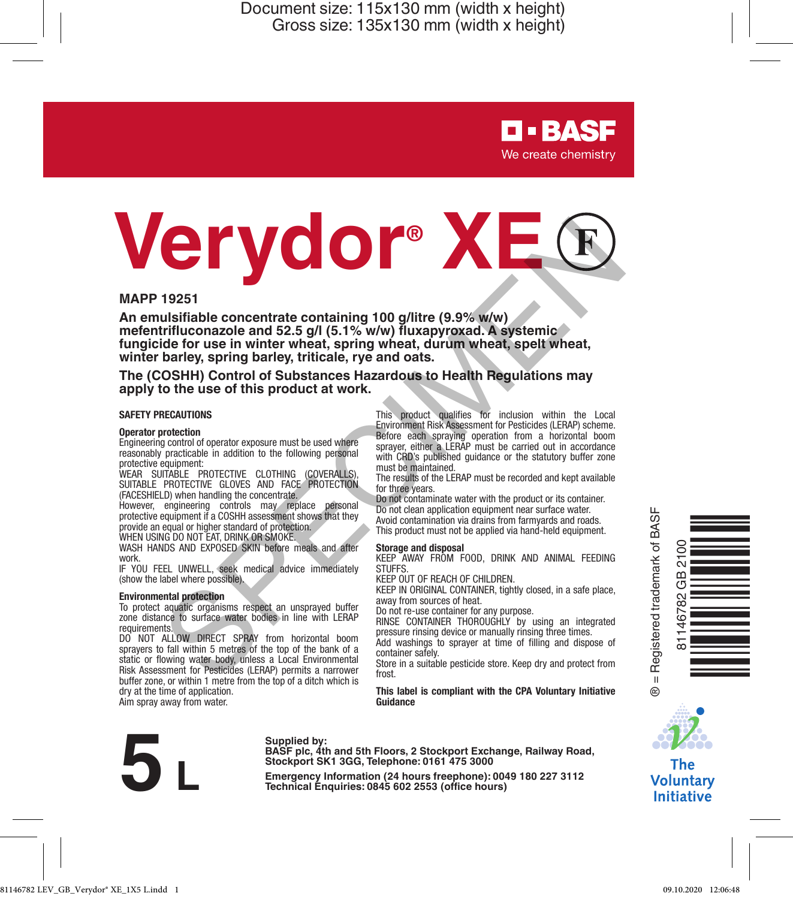> **D-BASF** We create chemistry

# **VERY 19251**<br>
An emulsifiable concentrate containing 100 *gillitre* (9.9% w/w)<br>
meteriorifluconazole and 52.5 *g/l* (5.1% w/w) fluxapyroxad. A systemic<br>
functionazole and 52.5 *g/l* (5.1% w/w) fluxapyroxad. A systemic<br>
wri

## **MAPP 19251**

**An emulsifiable concentrate containing 100 g/litre (9.9% w/w) mefentrifluconazole and 52.5 g/l (5.1% w/w) fluxapyroxad. A systemic fungicide for use in winter wheat, spring wheat, durum wheat, spelt wheat, winter barley, spring barley, triticale, rye and oats.**

## **The (COSHH) Control of Substances Hazardous to Health Regulations may apply to the use of this product at work.**

## **SAFETY PRECAUTIONS**

## **Operator protection**

Engineering control of operator exposure must be used where reasonably practicable in addition to the following personal protective equipment:

WEAR SUITABLE PROTECTIVE CLOTHING (COVERALLS), SUITABLE PROTECTIVE GLOVES AND FACE PROTECTION (FACESHIELD) when handling the concentrate.

However, engineering controls may replace personal protective equipment if a COSHH assessment shows that they provide an equal or higher standard of protection. WHEN USING DO NOT EAT, DRINK OR SMOKE

WASH HANDS AND EXPOSED SKIN before meals and after work.

IF YOU FEEL UNWELL, seek medical advice immediately (show the label where possible).

## **Environmental protection**

To protect aquatic organisms respect an unsprayed buffer zone distance to surface water bodies in line with LERAP requirements.

DO NOT ALLOW DIRECT SPRAY from horizontal boom sprayers to fall within 5 metres of the top of the bank of a static or flowing water body, unless a Local Environmental Risk Assessment for Pesticides (LERAP) permits a narrower buffer zone, or within 1 metre from the top of a ditch which is dry at the time of application. Aim spray away from water.

This product qualifies for inclusion within the Local Environment Risk Assessment for Pesticides (LERAP) scheme. Before each spraying operation from a horizontal boom sprayer, either a LERAP must be carried out in accordance with CRD's published guidance or the statutory buffer zone must be maintained.

The results of the LERAP must be recorded and kept available for three years.

Do not contaminate water with the product or its container. Do not clean application equipment near surface water. Avoid contamination via drains from farmyards and roads. This product must not be applied via hand-held equipment.

## **Storage and disposal**

KEEP AWAY FROM FOOD, DRINK AND ANIMAL FEEDING **STUFFS** 

KEEP OUT OF REACH OF CHILDREN.

KEEP IN ORIGINAL CONTAINER, tightly closed, in a safe place, away from sources of heat.

Do not re-use container for any purpose. RINSE CONTAINER THOROUGHLY by using an integrated pressure rinsing device or manually rinsing three times. Add washings to sprayer at time of filling and dispose of

container safely.

Store in a suitable pesticide store. Keep dry and protect from frost.

**This label is compliant with the CPA Voluntary Initiative Guidance**



Supplied by:<br>
BASF plc, 4th and 5th Floors, 2 Stockport Exchange, Railway Road,<br>
Stockport SK1 3GG, Telephone: 0161 475 3000<br>
Emergency Information (24 hours freephone): 0049 180 227 3112<br>
Technical Enquiries: 0845 602 255 **Stockport SK1 3GG, Telephone: 0161 475 3000**





**The Voluntary Initiative**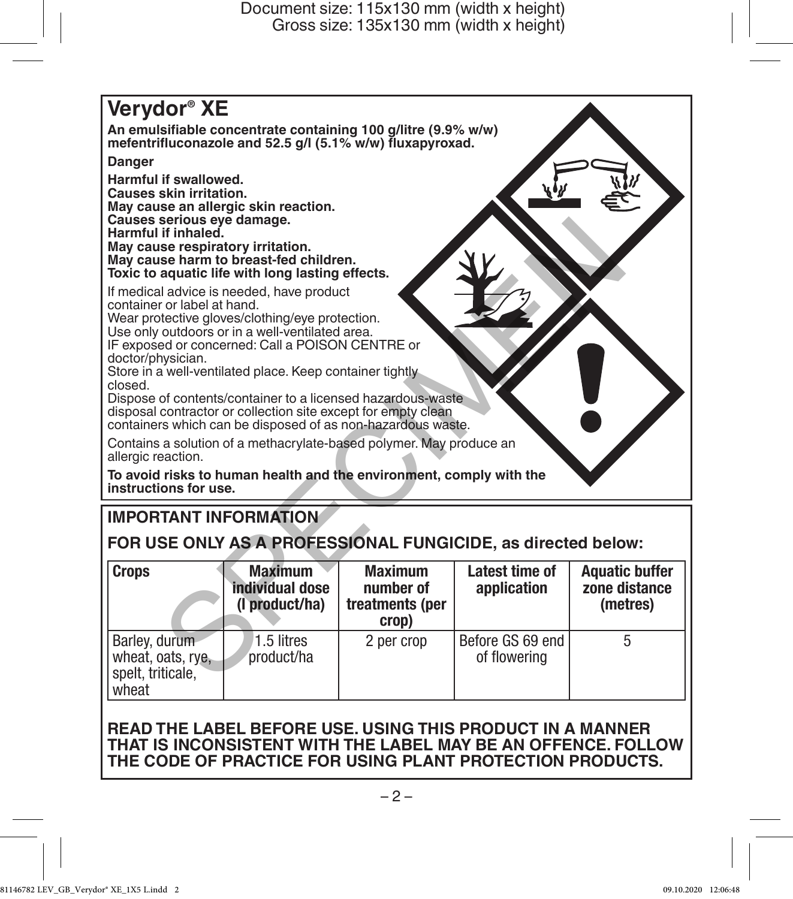

# **IMPORTANT INFORMATION**

**FOR USE ONLY AS A PROFESSIONAL FUNGICIDE, as directed below:**

| <b>Crops</b>                                                     | <b>Maximum</b><br>individual dose<br>(I product/ha) | <b>Maximum</b><br>number of<br>treatments (per<br>crop) | Latest time of<br>application    | <b>Aquatic buffer</b><br>zone distance<br>(metres) |
|------------------------------------------------------------------|-----------------------------------------------------|---------------------------------------------------------|----------------------------------|----------------------------------------------------|
| Barley, durum<br>wheat, oats, rye,<br>spelt, triticale,<br>wheat | 1.5 litres<br>product/ha                            | 2 per crop                                              | Before GS 69 end<br>of flowering |                                                    |

# **READ THE LABEL BEFORE USE. USING THIS PRODUCT IN A MANNER THAT IS INCONSISTENT WITH THE LABEL MAY BE AN OFFENCE. FOLLOW THE CODE OF PRACTICE FOR USING PLANT PROTECTION PRODUCTS.**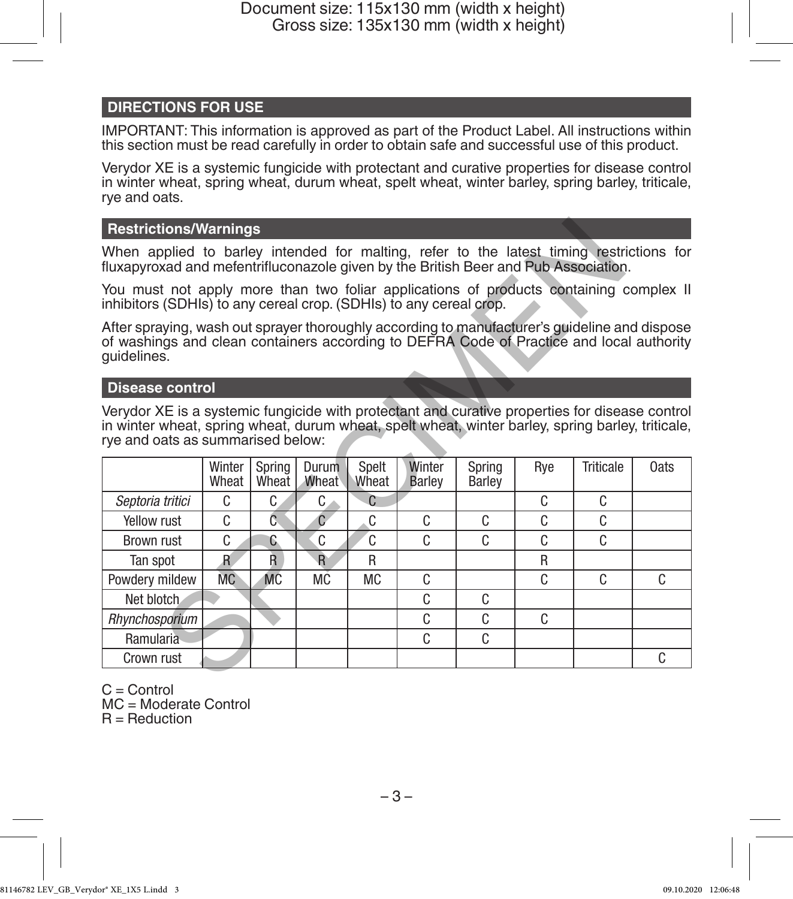# **DIRECTIONS FOR USE**

IMPORTANT: This information is approved as part of the Product Label. All instructions within this section must be read carefully in order to obtain safe and successful use of this product.

Verydor XE is a systemic fungicide with protectant and curative properties for disease control in winter wheat, spring wheat, durum wheat, spelt wheat, winter barley, spring barley, triticale, rye and oats.

# **Restrictions/Warnings**

# **Disease control**

| <b>Restrictions/Warnings</b>                                                                                                                                                                                                             |                 |                 |                |                |                  |                  |     |                  |      |  |  |  |
|------------------------------------------------------------------------------------------------------------------------------------------------------------------------------------------------------------------------------------------|-----------------|-----------------|----------------|----------------|------------------|------------------|-----|------------------|------|--|--|--|
| When applied to barley intended for malting, refer to the latest timing restrictions for<br>fluxapyroxad and mefentrifluconazole given by the British Beer and Pub Association.                                                          |                 |                 |                |                |                  |                  |     |                  |      |  |  |  |
| You must not apply more than two foliar applications of products containing complex II<br>inhibitors (SDHIs) to any cereal crop. (SDHIs) to any cereal crop.                                                                             |                 |                 |                |                |                  |                  |     |                  |      |  |  |  |
| After spraying, wash out sprayer thoroughly according to manufacturer's guideline and dispose<br>of washings and clean containers according to DEFRA Code of Practice and local authority<br>quidelines.                                 |                 |                 |                |                |                  |                  |     |                  |      |  |  |  |
| <b>Disease control</b>                                                                                                                                                                                                                   |                 |                 |                |                |                  |                  |     |                  |      |  |  |  |
| Verydor XE is a systemic fungicide with protectant and curative properties for disease control<br>in winter wheat, spring wheat, durum wheat, spelt wheat, winter barley, spring barley, triticale,<br>rye and oats as summarised below: |                 |                 |                |                |                  |                  |     |                  |      |  |  |  |
|                                                                                                                                                                                                                                          | Winter<br>Wheat | Spring<br>Wheat | Durum<br>Wheat | Spelt<br>Wheat | Winter<br>Barley | Spring<br>Barley | Rye | <b>Triticale</b> | 0ats |  |  |  |
| Septoria tritici                                                                                                                                                                                                                         | C               | C.              | C              | C              |                  |                  | C   | C                |      |  |  |  |
| Yellow rust                                                                                                                                                                                                                              | C               | Ĉ.              | $\overline{C}$ | C.             | C                | C                | C   | C                |      |  |  |  |
| Brown rust                                                                                                                                                                                                                               | C               | C               | C              | C              | C                | C                | C   | C                |      |  |  |  |
| Tan spot                                                                                                                                                                                                                                 | $\mathbf{R}$    | Ř.              | $\overline{R}$ | R              |                  |                  | R   |                  |      |  |  |  |
| Powdery mildew                                                                                                                                                                                                                           | <b>MC</b>       | <b>MC</b>       | МC             | MC.            | C                |                  | C   | C.               | C.   |  |  |  |
| Net blotch.                                                                                                                                                                                                                              |                 |                 |                |                | C                | C                |     |                  |      |  |  |  |
| Rhynchosporium                                                                                                                                                                                                                           |                 |                 |                |                | C                | C                | C   |                  |      |  |  |  |
| Ramularia                                                                                                                                                                                                                                |                 |                 |                |                | C                | C                |     |                  |      |  |  |  |
| Crown rust                                                                                                                                                                                                                               |                 |                 |                |                |                  |                  |     |                  | C.   |  |  |  |
|                                                                                                                                                                                                                                          |                 |                 |                |                |                  |                  |     |                  |      |  |  |  |

 $C =$  Control MC = Moderate Control  $R =$  Reduction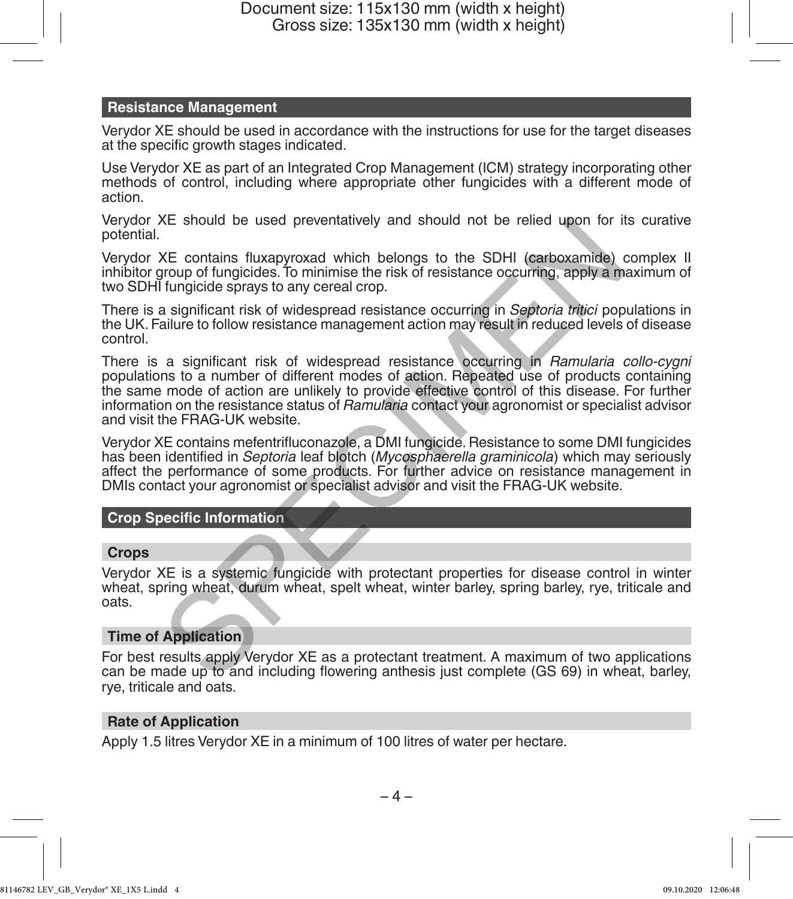# **Resistance Management**

Verydor XE should be used in accordance with the instructions for use for the target diseases at the specific growth stages indicated.

Use Verydor XE as part of an Integrated Crop Management (ICM) strategy incorporating other methods of control, including where appropriate other fungicides with a different mode of action.

Verydor XE should be used preventatively and should not be relied upon for its curative potential.

Verydor XE contains fluxapyroxad which belongs to the SDHI (carboxamide) complex II inhibitor group of fungicides. To minimise the risk of resistance occurring, apply a maximum of two SDHI fungicide sprays to any cereal crop.

There is a significant risk of widespread resistance occurring in *Septoria tritici* populations in the UK. Failure to follow resistance management action may result in reduced levels of disease control.

There is a significant risk of widespread resistance occurring in *Ramularia collo-cygni* populations to a number of different modes of action. Repeated use of products containing the same mode of action are unlikely to provide effective control of this disease. For further information on the resistance status of *Ramularia* contact your agronomist or specialist advisor and visit the FRAG-UK website. XE should be used preventatively and should not be relied upon for it<br>
XE contains fluxapyroxad which belongs to the SDHI (carboxamide) drungicides. To minimise the risk of resistance occurring, apply a m<br>
flungicide spray

Verydor XE contains mefentrifluconazole, a DMI fungicide. Resistance to some DMI fungicides has been identified in *Septoria* leaf blotch (*Mycosphaerella graminicola*) which may seriously affect the performance of some products. For further advice on resistance management in DMIs contact your agronomist or specialist advisor and visit the FRAG-UK website.

# **Crop Specific Information**

# **Crops**

Verydor XE is a systemic fungicide with protectant properties for disease control in winter wheat, spring wheat, durum wheat, spelt wheat, winter barley, spring barley, rye, triticale and oats.

# **Time of Application**

For best results apply Verydor XE as a protectant treatment. A maximum of two applications can be made up to and including flowering anthesis just complete (GS 69) in wheat, barley, rye, triticale and oats.

# **Rate of Application**

Apply 1.5 litres Verydor XE in a minimum of 100 litres of water per hectare.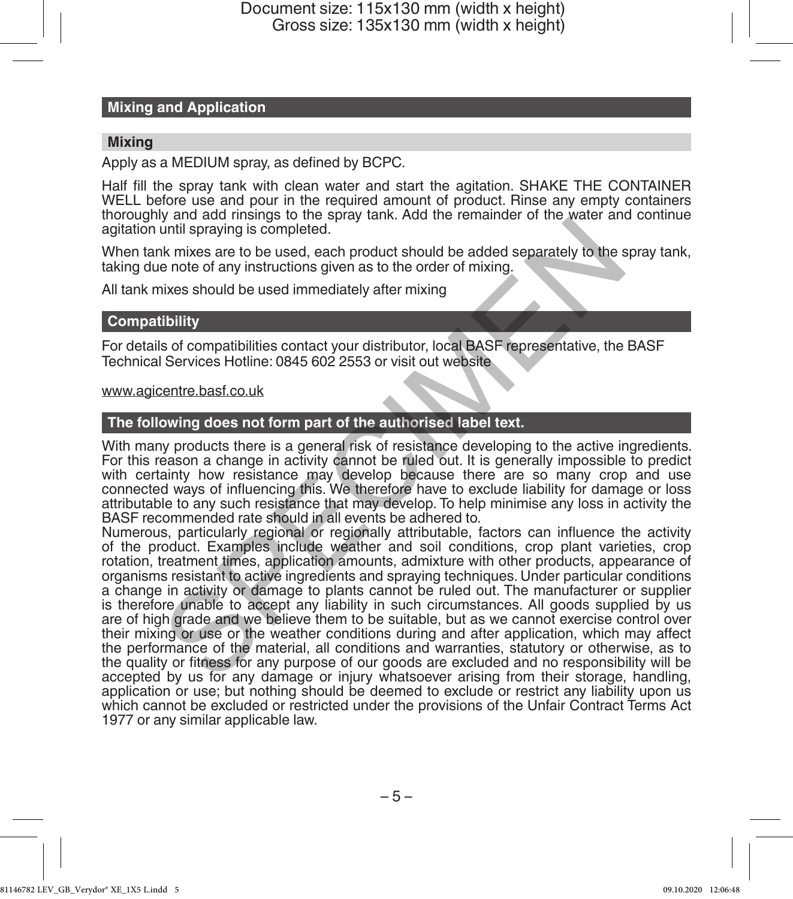## **Mixing and Application**

## **Mixing**

Apply as a MEDIUM spray, as defined by BCPC.

Half fill the spray tank with clean water and start the agitation. SHAKE THE CONTAINER WELL before use and pour in the required amount of product. Rinse any empty containers thoroughly and add rinsings to the spray tank. Add the remainder of the water and continue agitation until spraying is completed.

When tank mixes are to be used, each product should be added separately to the spray tank, taking due note of any instructions given as to the order of mixing.

All tank mixes should be used immediately after mixing

## **Compatibility**

For details of compatibilities contact your distributor, local BASF representative, the BASF Technical Services Hotline: 0845 602 2553 or visit out website

## www.agicentre.basf.co.uk

## **The following does not form part of the authorised label text.**

With many products there is a general risk of resistance developing to the active ingredients. For this reason a change in activity cannot be ruled out. It is generally impossible to predict with certainty how resistance may develop because there are so many crop and use connected ways of influencing this. We therefore have to exclude liability for damage or loss attributable to any such resistance that may develop. To help minimise any loss in activity the BASF recommended rate should in all events be adhered to.

Numerous, particularly regional or regionally attributable, factors can influence the activity of the product. Examples include weather and soil conditions, crop plant varieties, crop rotation, treatment times, application amounts, admixture with other products, appearance of organisms resistant to active ingredients and spraying techniques. Under particular conditions a change in activity or damage to plants cannot be ruled out. The manufacturer or supplier is therefore unable to accept any liability in such circumstances. All goods supplied by us are of high grade and we believe them to be suitable, but as we cannot exercise control over their mixing or use or the weather conditions during and after application, which may affect the performance of the material, all conditions and warranties, statutory or otherwise, as to the quality or fitness for any purpose of our goods are excluded and no responsibility will be accepted by us for any damage or injury whatsoever arising from their storage, handling, application or use; but nothing should be deemed to exclude or restrict any liability upon us which cannot be excluded or restricted under the provisions of the Unfair Contract Terms Act 1977 or any similar applicable law. y and strategies the product should be added separately to the sends that while spraying is completed.<br>
In this spraying is completed.<br>
In this section and the order of mixing.<br>
In this section and the used immediately aft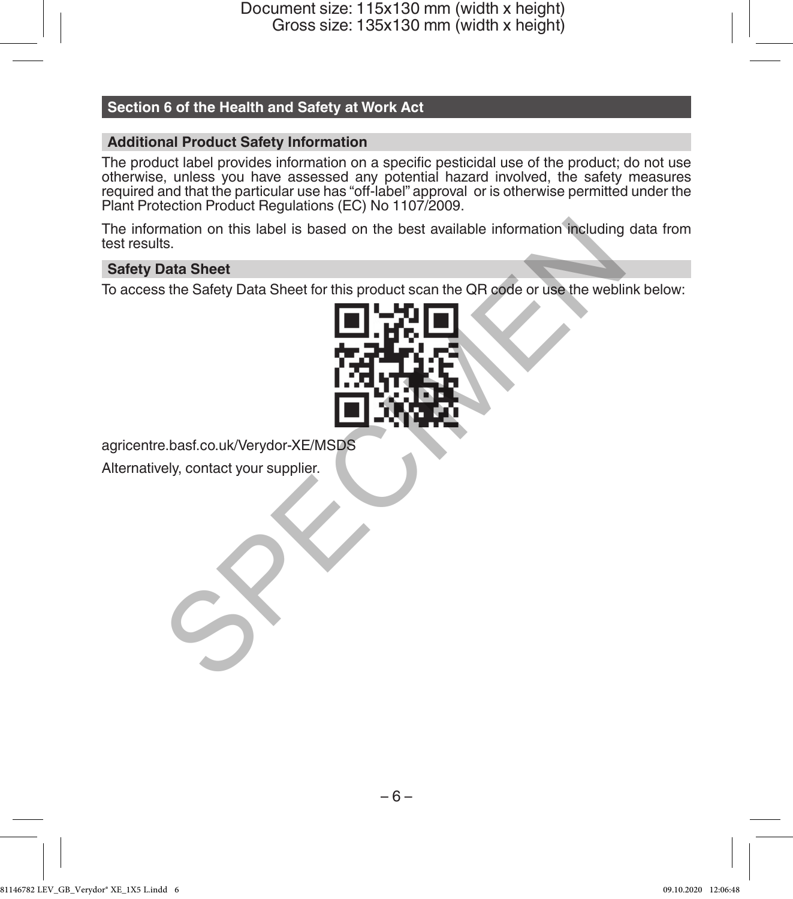# **Section 6 of the Health and Safety at Work Act**

# **Additional Product Safety Information**

The product label provides information on a specific pesticidal use of the product; do not use otherwise, unless you have assessed any potential hazard involved, the safety measures required and that the particular use has "off-label" approval or is otherwise permitted under the Plant Protection Product Regulations (EC) No 1107/2009.

The information on this label is based on the best available information including data from test results.

# **Safety Data Sheet**

To access the Safety Data Sheet for this product scan the QR code or use the weblink below:



agricentre.basf.co.uk/Verydor-XE/MSDS

Alternatively, contact your supplier.